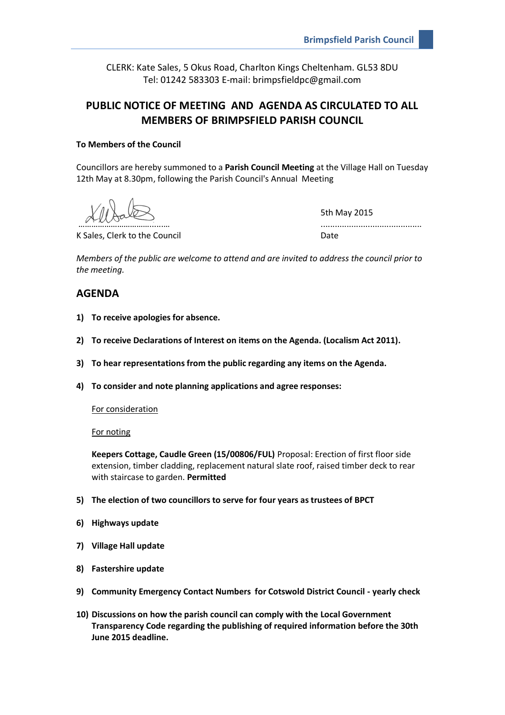CLERK: Kate Sales, 5 Okus Road, Charlton Kings Cheltenham. GL53 8DU Tel: 01242 583303 E-mail: brimpsfieldpc@gmail.com

# **PUBLIC NOTICE OF MEETING AND AGENDA AS CIRCULATED TO ALL MEMBERS OF BRIMPSFIELD PARISH COUNCIL**

## **To Members of the Council**

Councillors are hereby summoned to a **Parish Council Meeting** at the Village Hall on Tuesday 12th May at 8.30pm, following the Parish Council's Annual Meeting

5th May 2015 …………………………………………………

K Sales, Clerk to the Council **Example 20** at the Date

*Members of the public are welcome to attend and are invited to address the council prior to the meeting.*

# **AGENDA**

- **1) To receive apologies for absence.**
- **2) To receive Declarations of Interest on items on the Agenda. (Localism Act 2011).**
- **3) To hear representations from the public regarding any items on the Agenda.**
- **4) To consider and note planning applications and agree responses:**

For consideration

For noting

**Keepers Cottage, Caudle Green (15/00806/FUL)** Proposal: Erection of first floor side extension, timber cladding, replacement natural slate roof, raised timber deck to rear with staircase to garden. **Permitted**

- **5) The election of two councillors to serve for four years as trustees of BPCT**
- **6) Highways update**
- **7) Village Hall update**
- **8) Fastershire update**
- **9) Community Emergency Contact Numbers for Cotswold District Council - yearly check**
- **10) Discussions on how the parish council can comply with the Local Government Transparency Code regarding the publishing of required information before the 30th June 2015 deadline.**